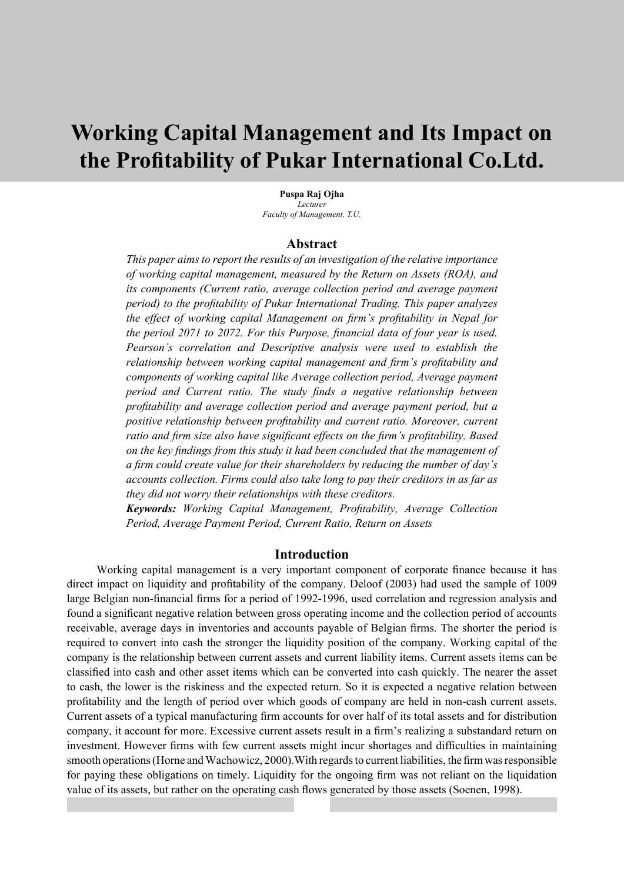# **Working Capital Management and Its Impact on the Profitability of Pukar International Co.Ltd.**

**Puspa Raj Ojha** *Lecturer Faculty of Management, T.U.*

#### **Abstract**

*This paper aims to report the results of an investigation of the relative importance of working capital management, measured by the Return on Assets (ROA), and*  its components (Current ratio, average collection period and average payment *period) to the profitability of Pukar International Trading. This paper analyzes the effect of working capital Management on firm's profitability in Nepal for the period 2071 to 2072. For this Purpose, financial data of four year is used. Pearson's correlation and Descriptive analysis were used to establish the relationship between working capital management and firm's profitability and components of working capital like Average collection period, Average payment period and Current ratio. The study finds a negative relationship between profitability and average collection period and average payment period, but a positive relationship between profitability and current ratio. Moreover, current ratio and firm size also have significant effects on the firm's profitability. Based on the key findings from this study it had been concluded that the management of a firm could create value for their shareholders by reducing the number of day's accounts collection. Firms could also take long to pay their creditors in as far as they did not worry their relationships with these creditors.* 

*Keywords: Working Capital Management, Profitability, Average Collection Period, Average Payment Period, Current Ratio, Return on Assets*

#### **Introduction**

Working capital management is a very important component of corporate finance because it has direct impact on liquidity and profitability of the company. Deloof (2003) had used the sample of 1009 large Belgian non-financial firms for a period of 1992-1996, used correlation and regression analysis and found a significant negative relation between gross operating income and the collection period of accounts receivable, average days in inventories and accounts payable of Belgian firms. The shorter the period is required to convert into cash the stronger the liquidity position of the company. Working capital of the company is the relationship between current assets and current liability items. Current assets items can be classified into cash and other asset items which can be converted into cash quickly. The nearer the asset to cash, the lower is the riskiness and the expected return. So it is expected a negative relation between profitability and the length of period over which goods of company are held in non-cash current assets. Current assets of a typical manufacturing firm accounts for over half of its total assets and for distribution company, it account for more. Excessive current assets result in a firm's realizing a substandard return on investment. However firms with few current assets might incur shortages and difficulties in maintaining smooth operations (Horne and Wachowicz, 2000).With regards to current liabilities, the firm was responsible for paying these obligations on timely. Liquidity for the ongoing firm was not reliant on the liquidation value of its assets, but rather on the operating cash flows generated by those assets (Soenen, 1998).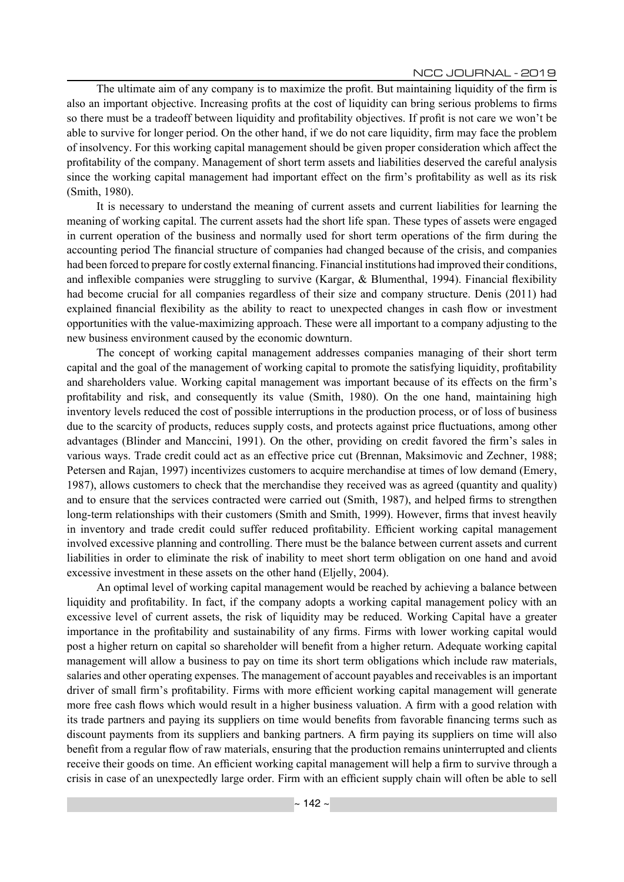The ultimate aim of any company is to maximize the profit. But maintaining liquidity of the firm is also an important objective. Increasing profits at the cost of liquidity can bring serious problems to firms so there must be a tradeoff between liquidity and profitability objectives. If profit is not care we won't be able to survive for longer period. On the other hand, if we do not care liquidity, firm may face the problem of insolvency. For this working capital management should be given proper consideration which affect the profitability of the company. Management of short term assets and liabilities deserved the careful analysis since the working capital management had important effect on the firm's profitability as well as its risk (Smith, 1980).

It is necessary to understand the meaning of current assets and current liabilities for learning the meaning of working capital. The current assets had the short life span. These types of assets were engaged in current operation of the business and normally used for short term operations of the firm during the accounting period The financial structure of companies had changed because of the crisis, and companies had been forced to prepare for costly external financing. Financial institutions had improved their conditions, and inflexible companies were struggling to survive (Kargar, & Blumenthal, 1994). Financial flexibility had become crucial for all companies regardless of their size and company structure. Denis (2011) had explained financial flexibility as the ability to react to unexpected changes in cash flow or investment opportunities with the value-maximizing approach. These were all important to a company adjusting to the new business environment caused by the economic downturn.

The concept of working capital management addresses companies managing of their short term capital and the goal of the management of working capital to promote the satisfying liquidity, profitability and shareholders value. Working capital management was important because of its effects on the firm's profitability and risk, and consequently its value (Smith, 1980). On the one hand, maintaining high inventory levels reduced the cost of possible interruptions in the production process, or of loss of business due to the scarcity of products, reduces supply costs, and protects against price fluctuations, among other advantages (Blinder and Manccini, 1991). On the other, providing on credit favored the firm's sales in various ways. Trade credit could act as an effective price cut (Brennan, Maksimovic and Zechner, 1988; Petersen and Rajan, 1997) incentivizes customers to acquire merchandise at times of low demand (Emery, 1987), allows customers to check that the merchandise they received was as agreed (quantity and quality) and to ensure that the services contracted were carried out (Smith, 1987), and helped firms to strengthen long-term relationships with their customers (Smith and Smith, 1999). However, firms that invest heavily in inventory and trade credit could suffer reduced profitability. Efficient working capital management involved excessive planning and controlling. There must be the balance between current assets and current liabilities in order to eliminate the risk of inability to meet short term obligation on one hand and avoid excessive investment in these assets on the other hand (Eljelly, 2004).

An optimal level of working capital management would be reached by achieving a balance between liquidity and profitability. In fact, if the company adopts a working capital management policy with an excessive level of current assets, the risk of liquidity may be reduced. Working Capital have a greater importance in the profitability and sustainability of any firms. Firms with lower working capital would post a higher return on capital so shareholder will benefit from a higher return. Adequate working capital management will allow a business to pay on time its short term obligations which include raw materials, salaries and other operating expenses. The management of account payables and receivables is an important driver of small firm's profitability. Firms with more efficient working capital management will generate more free cash flows which would result in a higher business valuation. A firm with a good relation with its trade partners and paying its suppliers on time would benefits from favorable financing terms such as discount payments from its suppliers and banking partners. A firm paying its suppliers on time will also benefit from a regular flow of raw materials, ensuring that the production remains uninterrupted and clients receive their goods on time. An efficient working capital management will help a firm to survive through a crisis in case of an unexpectedly large order. Firm with an efficient supply chain will often be able to sell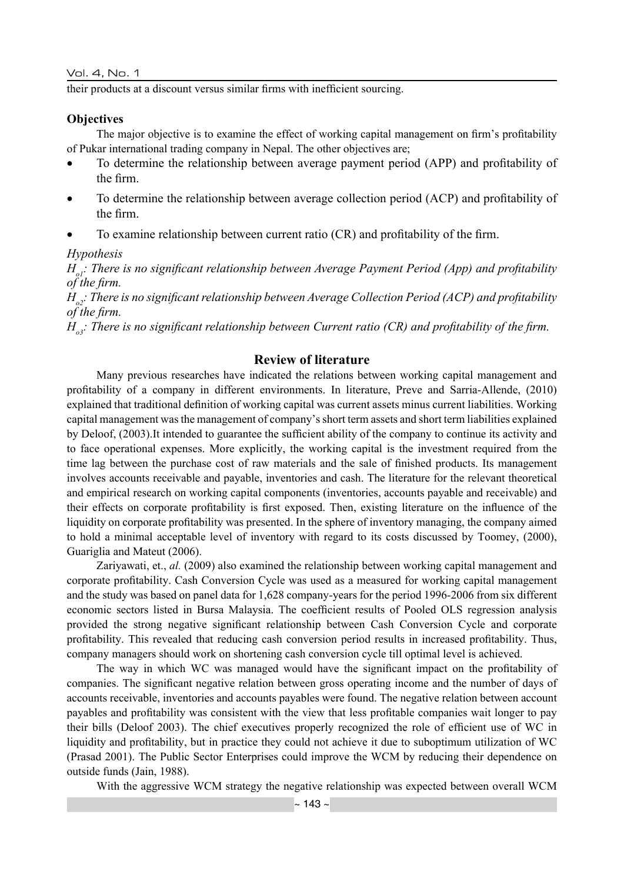#### Vol. 4, No. 1

their products at a discount versus similar firms with inefficient sourcing.

#### **Objectives**

The major objective is to examine the effect of working capital management on firm's profitability of Pukar international trading company in Nepal. The other objectives are;

- To determine the relationship between average payment period (APP) and profitability of the firm.
- To determine the relationship between average collection period (ACP) and profitability of the firm.
- To examine relationship between current ratio (CR) and profitability of the firm.

## *Hypothesis*

*Ho1: There is no significant relationship between Average Payment Period (App) and profitability of the firm.*

*Ho2: There is no significant relationship between Average Collection Period (ACP) and profitability of the firm.*

*Ho3: There is no significant relationship between Current ratio (CR) and profitability of the firm.*

## **Review of literature**

Many previous researches have indicated the relations between working capital management and profitability of a company in different environments. In literature, Preve and Sarria-Allende, (2010) explained that traditional definition of working capital was current assets minus current liabilities. Working capital management was the management of company's short term assets and short term liabilities explained by Deloof, (2003).It intended to guarantee the sufficient ability of the company to continue its activity and to face operational expenses. More explicitly, the working capital is the investment required from the time lag between the purchase cost of raw materials and the sale of finished products. Its management involves accounts receivable and payable, inventories and cash. The literature for the relevant theoretical and empirical research on working capital components (inventories, accounts payable and receivable) and their effects on corporate profitability is first exposed. Then, existing literature on the influence of the liquidity on corporate profitability was presented. In the sphere of inventory managing, the company aimed to hold a minimal acceptable level of inventory with regard to its costs discussed by Toomey, (2000), Guariglia and Mateut (2006).

Zariyawati, et., *al.* (2009) also examined the relationship between working capital management and corporate profitability. Cash Conversion Cycle was used as a measured for working capital management and the study was based on panel data for 1,628 company-years for the period 1996-2006 from six different economic sectors listed in Bursa Malaysia. The coefficient results of Pooled OLS regression analysis provided the strong negative significant relationship between Cash Conversion Cycle and corporate profitability. This revealed that reducing cash conversion period results in increased profitability. Thus, company managers should work on shortening cash conversion cycle till optimal level is achieved.

The way in which WC was managed would have the significant impact on the profitability of companies. The significant negative relation between gross operating income and the number of days of accounts receivable, inventories and accounts payables were found. The negative relation between account payables and profitability was consistent with the view that less profitable companies wait longer to pay their bills (Deloof 2003). The chief executives properly recognized the role of efficient use of WC in liquidity and profitability, but in practice they could not achieve it due to suboptimum utilization of WC (Prasad 2001). The Public Sector Enterprises could improve the WCM by reducing their dependence on outside funds (Jain, 1988).

With the aggressive WCM strategy the negative relationship was expected between overall WCM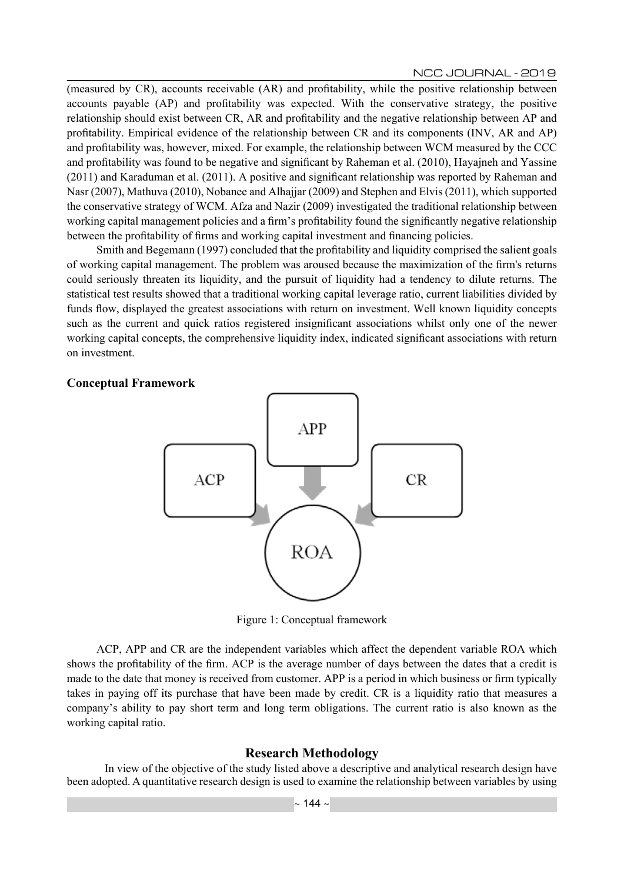(measured by CR), accounts receivable (AR) and profitability, while the positive relationship between accounts payable (AP) and profitability was expected. With the conservative strategy, the positive relationship should exist between CR, AR and profitability and the negative relationship between AP and profitability. Empirical evidence of the relationship between CR and its components (INV, AR and AP) and profitability was, however, mixed. For example, the relationship between WCM measured by the CCC and profitability was found to be negative and significant by Raheman et al. (2010), Hayajneh and Yassine (2011) and Karaduman et al. (2011). A positive and significant relationship was reported by Raheman and Nasr (2007), Mathuva (2010), Nobanee and Alhajjar (2009) and Stephen and Elvis (2011), which supported the conservative strategy of WCM. Afza and Nazir (2009) investigated the traditional relationship between working capital management policies and a firm's profitability found the significantly negative relationship between the profitability of firms and working capital investment and financing policies.

Smith and Begemann (1997) concluded that the profitability and liquidity comprised the salient goals of working capital management. The problem was aroused because the maximization of the firm's returns could seriously threaten its liquidity, and the pursuit of liquidity had a tendency to dilute returns. The statistical test results showed that a traditional working capital leverage ratio, current liabilities divided by funds flow, displayed the greatest associations with return on investment. Well known liquidity concepts such as the current and quick ratios registered insignificant associations whilst only one of the newer working capital concepts, the comprehensive liquidity index, indicated significant associations with return on investment.

## **Conceptual Framework**



Figure 1: Conceptual framework

ACP, APP and CR are the independent variables which affect the dependent variable ROA which shows the profitability of the firm. ACP is the average number of days between the dates that a credit is made to the date that money is received from customer. APP is a period in which business or firm typically takes in paying off its purchase that have been made by credit. CR is a liquidity ratio that measures a company's ability to pay short term and long term obligations. The current ratio is also known as the working capital ratio.

## **Research Methodology**

In view of the objective of the study listed above a descriptive and analytical research design have been adopted. A quantitative research design is used to examine the relationship between variables by using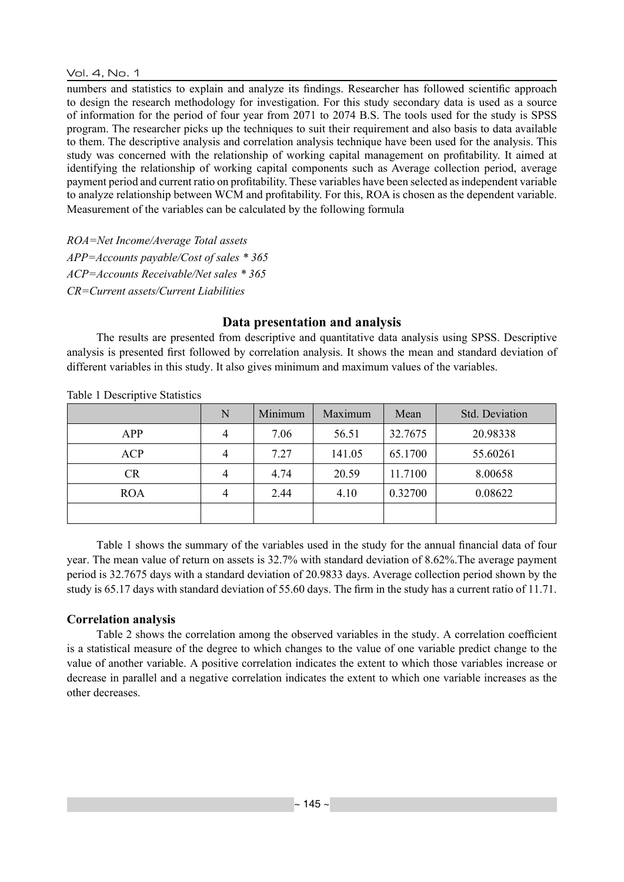numbers and statistics to explain and analyze its findings. Researcher has followed scientific approach to design the research methodology for investigation. For this study secondary data is used as a source of information for the period of four year from 2071 to 2074 B.S. The tools used for the study is SPSS program. The researcher picks up the techniques to suit their requirement and also basis to data available to them. The descriptive analysis and correlation analysis technique have been used for the analysis. This study was concerned with the relationship of working capital management on profitability. It aimed at identifying the relationship of working capital components such as Average collection period, average payment period and current ratio on profitability. These variables have been selected as independent variable to analyze relationship between WCM and profitability. For this, ROA is chosen as the dependent variable. Measurement of the variables can be calculated by the following formula

*ROA=Net Income/Average Total assets APP=Accounts payable/Cost of sales \* 365 ACP=Accounts Receivable/Net sales \* 365 CR=Current assets/Current Liabilities*

# **Data presentation and analysis**

The results are presented from descriptive and quantitative data analysis using SPSS. Descriptive analysis is presented first followed by correlation analysis. It shows the mean and standard deviation of different variables in this study. It also gives minimum and maximum values of the variables.

| racio i Descriptive Buttistres |   |         |         |         |                       |  |  |  |  |
|--------------------------------|---|---------|---------|---------|-----------------------|--|--|--|--|
|                                | N | Minimum | Maximum | Mean    | <b>Std. Deviation</b> |  |  |  |  |
| APP                            |   | 7.06    | 56.51   | 32.7675 | 20.98338              |  |  |  |  |
| <b>ACP</b>                     | 4 | 7.27    | 141.05  | 65.1700 | 55.60261              |  |  |  |  |
| <b>CR</b>                      | 4 | 4.74    | 20.59   | 11.7100 | 8.00658               |  |  |  |  |
| <b>ROA</b>                     |   | 2.44    | 4.10    | 0.32700 | 0.08622               |  |  |  |  |
|                                |   |         |         |         |                       |  |  |  |  |

Table 1 Descriptive Statistics

Table 1 shows the summary of the variables used in the study for the annual financial data of four year. The mean value of return on assets is 32.7% with standard deviation of 8.62%.The average payment period is 32.7675 days with a standard deviation of 20.9833 days. Average collection period shown by the study is 65.17 days with standard deviation of 55.60 days. The firm in the study has a current ratio of 11.71.

# **Correlation analysis**

Table 2 shows the correlation among the observed variables in the study. A correlation coefficient is a statistical measure of the degree to which changes to the value of one variable predict change to the value of another variable. A positive correlation indicates the extent to which those variables increase or decrease in parallel and a negative correlation indicates the extent to which one variable increases as the other decreases.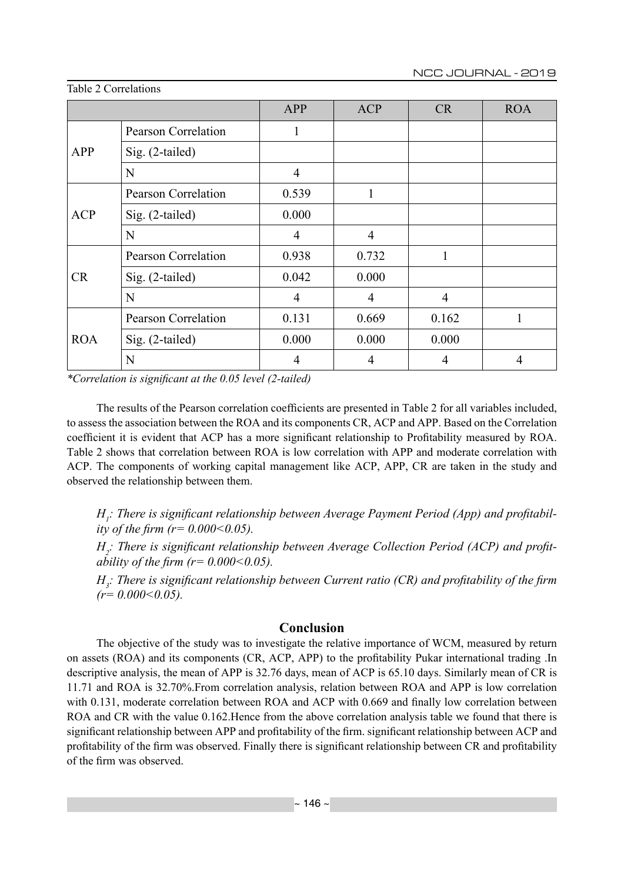|            |                            | <b>APP</b>   | <b>ACP</b>     | CR             | <b>ROA</b> |
|------------|----------------------------|--------------|----------------|----------------|------------|
| APP        | <b>Pearson Correlation</b> | $\mathbf{1}$ |                |                |            |
|            | Sig. (2-tailed)            |              |                |                |            |
|            | N                          | 4            |                |                |            |
| <b>ACP</b> | <b>Pearson Correlation</b> | 0.539        | $\mathbf{1}$   |                |            |
|            | Sig. (2-tailed)            | 0.000        |                |                |            |
|            | N                          | 4            | $\overline{4}$ |                |            |
| <b>CR</b>  | <b>Pearson Correlation</b> | 0.938        | 0.732          | 1              |            |
|            | Sig. (2-tailed)            | 0.042        | 0.000          |                |            |
|            | N                          | 4            | $\overline{4}$ | $\overline{4}$ |            |
| <b>ROA</b> | <b>Pearson Correlation</b> | 0.131        | 0.669          | 0.162          |            |
|            | Sig. (2-tailed)            | 0.000        | 0.000          | 0.000          |            |
|            | N                          | 4            | $\overline{4}$ | 4              | 4          |

Table 2 Correlations

*\*Correlation is significant at the 0.05 level (2-tailed)*

The results of the Pearson correlation coefficients are presented in Table 2 for all variables included, to assess the association between the ROA and its components CR, ACP and APP. Based on the Correlation coefficient it is evident that ACP has a more significant relationship to Profitability measured by ROA. Table 2 shows that correlation between ROA is low correlation with APP and moderate correlation with ACP. The components of working capital management like ACP, APP, CR are taken in the study and observed the relationship between them.

*H1 : There is significant relationship between Average Payment Period (App) and profitability of the firm (r= 0.000 < 0.05).* 

H<sub>2</sub>: There is significant relationship between Average Collection Period (ACP) and profit*ability of the firm (r= 0.000 < 0.05).* 

*H3 : There is significant relationship between Current ratio (CR) and profitability of the firm*   $(r= 0.000<0.05)$ .

# **Conclusion**

The objective of the study was to investigate the relative importance of WCM, measured by return on assets (ROA) and its components (CR, ACP, APP) to the profitability Pukar international trading .In descriptive analysis, the mean of APP is 32.76 days, mean of ACP is 65.10 days. Similarly mean of CR is 11.71 and ROA is 32.70%.From correlation analysis, relation between ROA and APP is low correlation with 0.131, moderate correlation between ROA and ACP with 0.669 and finally low correlation between ROA and CR with the value 0.162.Hence from the above correlation analysis table we found that there is significant relationship between APP and profitability of the firm. significant relationship between ACP and profitability of the firm was observed. Finally there is significant relationship between CR and profitability of the firm was observed.